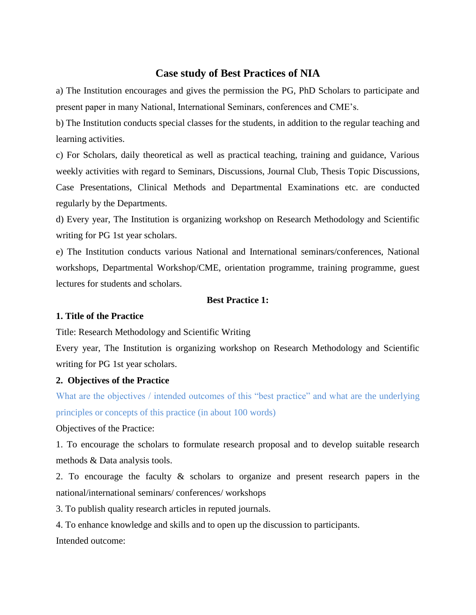# **Case study of Best Practices of NIA**

a) The Institution encourages and gives the permission the PG, PhD Scholars to participate and present paper in many National, International Seminars, conferences and CME's.

b) The Institution conducts special classes for the students, in addition to the regular teaching and learning activities.

c) For Scholars, daily theoretical as well as practical teaching, training and guidance, Various weekly activities with regard to Seminars, Discussions, Journal Club, Thesis Topic Discussions, Case Presentations, Clinical Methods and Departmental Examinations etc. are conducted regularly by the Departments.

d) Every year, The Institution is organizing workshop on Research Methodology and Scientific writing for PG 1st year scholars.

e) The Institution conducts various National and International seminars/conferences, National workshops, Departmental Workshop/CME, orientation programme, training programme, guest lectures for students and scholars.

# **Best Practice 1:**

### **1. Title of the Practice**

Title: Research Methodology and Scientific Writing

Every year, The Institution is organizing workshop on Research Methodology and Scientific writing for PG 1st year scholars.

### **2. Objectives of the Practice**

What are the objectives / intended outcomes of this "best practice" and what are the underlying principles or concepts of this practice (in about 100 words)

Objectives of the Practice:

1. To encourage the scholars to formulate research proposal and to develop suitable research methods & Data analysis tools.

2. To encourage the faculty & scholars to organize and present research papers in the national/international seminars/ conferences/ workshops

3. To publish quality research articles in reputed journals.

4. To enhance knowledge and skills and to open up the discussion to participants.

Intended outcome: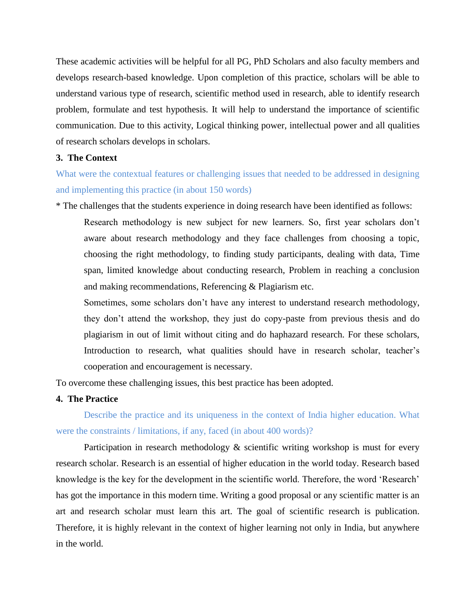These academic activities will be helpful for all PG, PhD Scholars and also faculty members and develops research-based knowledge. Upon completion of this practice, scholars will be able to understand various type of research, scientific method used in research, able to identify research problem, formulate and test hypothesis. It will help to understand the importance of scientific communication. Due to this activity, Logical thinking power, intellectual power and all qualities of research scholars develops in scholars.

# **3. The Context**

What were the contextual features or challenging issues that needed to be addressed in designing and implementing this practice (in about 150 words)

\* The challenges that the students experience in doing research have been identified as follows:

Research methodology is new subject for new learners. So, first year scholars don't aware about research methodology and they face challenges from choosing a topic, choosing the right methodology, to finding study participants, dealing with data, Time span, limited knowledge about conducting research, Problem in reaching a conclusion and making recommendations, Referencing & Plagiarism etc.

Sometimes, some scholars don't have any interest to understand research methodology, they don't attend the workshop, they just do copy-paste from previous thesis and do plagiarism in out of limit without citing and do haphazard research. For these scholars, Introduction to research, what qualities should have in research scholar, teacher's cooperation and encouragement is necessary.

To overcome these challenging issues, this best practice has been adopted.

# **4. The Practice**

Describe the practice and its uniqueness in the context of India higher education. What were the constraints / limitations, if any, faced (in about 400 words)?

Participation in research methodology  $\&$  scientific writing workshop is must for every research scholar. Research is an essential of higher education in the world today. Research based knowledge is the key for the development in the scientific world. Therefore, the word 'Research' has got the importance in this modern time. Writing a good proposal or any scientific matter is an art and research scholar must learn this art. The goal of scientific research is publication. Therefore, it is highly relevant in the context of higher learning not only in India, but anywhere in the world.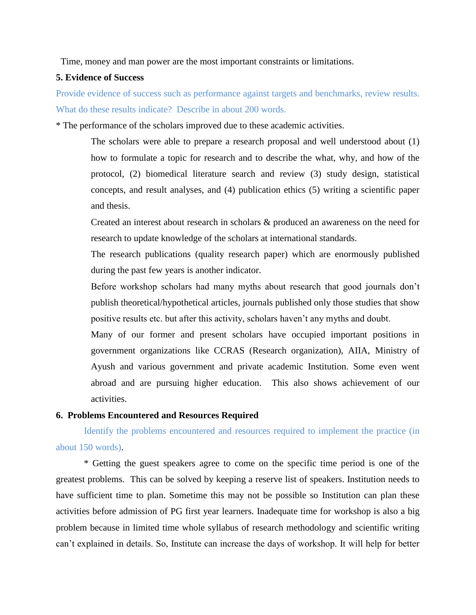Time, money and man power are the most important constraints or limitations.

# **5. Evidence of Success**

Provide evidence of success such as performance against targets and benchmarks, review results. What do these results indicate? Describe in about 200 words.

\* The performance of the scholars improved due to these academic activities.

The scholars were able to prepare a research proposal and well understood about (1) how to formulate a topic for research and to describe the what, why, and how of the protocol, (2) biomedical literature search and review (3) study design, statistical concepts, and result analyses, and (4) publication ethics (5) writing a scientific paper and thesis.

Created an interest about research in scholars & produced an awareness on the need for research to update knowledge of the scholars at international standards.

The research publications (quality research paper) which are enormously published during the past few years is another indicator.

Before workshop scholars had many myths about research that good journals don't publish theoretical/hypothetical articles, journals published only those studies that show positive results etc. but after this activity, scholars haven't any myths and doubt.

Many of our former and present scholars have occupied important positions in government organizations like CCRAS (Research organization), AIIA, Ministry of Ayush and various government and private academic Institution. Some even went abroad and are pursuing higher education. This also shows achievement of our activities.

## **6. Problems Encountered and Resources Required**

Identify the problems encountered and resources required to implement the practice (in about 150 words).

\* Getting the guest speakers agree to come on the specific time period is one of the greatest problems. This can be solved by keeping a reserve list of speakers. Institution needs to have sufficient time to plan. Sometime this may not be possible so Institution can plan these activities before admission of PG first year learners. Inadequate time for workshop is also a big problem because in limited time whole syllabus of research methodology and scientific writing can't explained in details. So, Institute can increase the days of workshop. It will help for better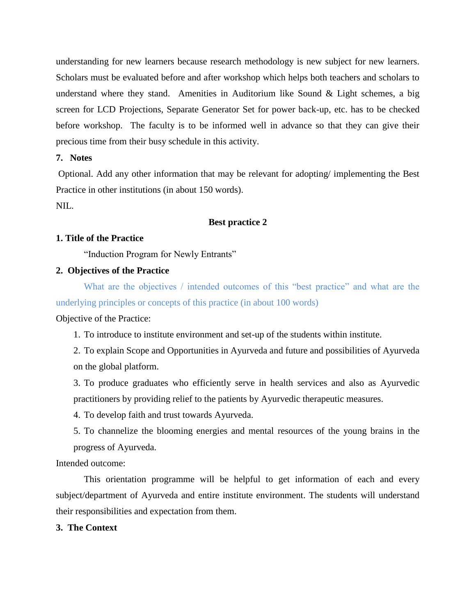understanding for new learners because research methodology is new subject for new learners. Scholars must be evaluated before and after workshop which helps both teachers and scholars to understand where they stand. Amenities in Auditorium like Sound & Light schemes, a big screen for LCD Projections, Separate Generator Set for power back-up, etc. has to be checked before workshop. The faculty is to be informed well in advance so that they can give their precious time from their busy schedule in this activity.

# **7. Notes**

Optional. Add any other information that may be relevant for adopting/ implementing the Best Practice in other institutions (in about 150 words).

NIL.

# **Best practice 2**

#### **1. Title of the Practice**

"Induction Program for Newly Entrants"

### **2. Objectives of the Practice**

What are the objectives / intended outcomes of this "best practice" and what are the underlying principles or concepts of this practice (in about 100 words)

Objective of the Practice:

1. To introduce to institute environment and set-up of the students within institute.

2. To explain Scope and Opportunities in Ayurveda and future and possibilities of Ayurveda on the global platform.

3. To produce graduates who efficiently serve in health services and also as Ayurvedic practitioners by providing relief to the patients by Ayurvedic therapeutic measures.

4. To develop faith and trust towards Ayurveda.

5. To channelize the blooming energies and mental resources of the young brains in the progress of Ayurveda.

Intended outcome:

This orientation programme will be helpful to get information of each and every subject/department of Ayurveda and entire institute environment. The students will understand their responsibilities and expectation from them.

### **3. The Context**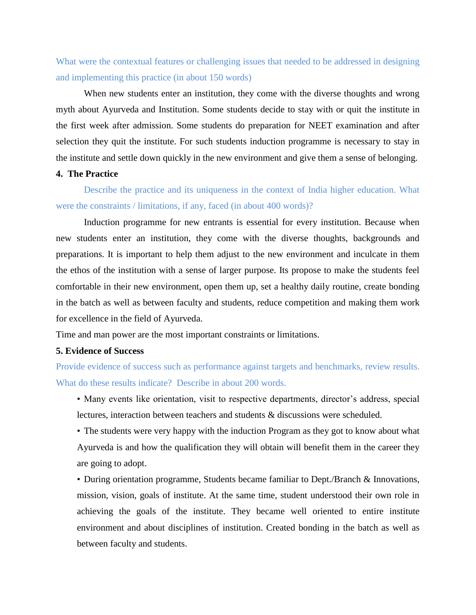What were the contextual features or challenging issues that needed to be addressed in designing and implementing this practice (in about 150 words)

When new students enter an institution, they come with the diverse thoughts and wrong myth about Ayurveda and Institution. Some students decide to stay with or quit the institute in the first week after admission. Some students do preparation for NEET examination and after selection they quit the institute. For such students induction programme is necessary to stay in the institute and settle down quickly in the new environment and give them a sense of belonging.

### **4. The Practice**

Describe the practice and its uniqueness in the context of India higher education. What were the constraints / limitations, if any, faced (in about 400 words)?

Induction programme for new entrants is essential for every institution. Because when new students enter an institution, they come with the diverse thoughts, backgrounds and preparations. It is important to help them adjust to the new environment and inculcate in them the ethos of the institution with a sense of larger purpose. Its propose to make the students feel comfortable in their new environment, open them up, set a healthy daily routine, create bonding in the batch as well as between faculty and students, reduce competition and making them work for excellence in the field of Ayurveda.

Time and man power are the most important constraints or limitations.

# **5. Evidence of Success**

Provide evidence of success such as performance against targets and benchmarks, review results. What do these results indicate? Describe in about 200 words.

- Many events like orientation, visit to respective departments, director's address, special lectures, interaction between teachers and students & discussions were scheduled.
- The students were very happy with the induction Program as they got to know about what Ayurveda is and how the qualification they will obtain will benefit them in the career they are going to adopt.
- During orientation programme, Students became familiar to Dept./Branch & Innovations, mission, vision, goals of institute. At the same time, student understood their own role in achieving the goals of the institute. They became well oriented to entire institute environment and about disciplines of institution. Created bonding in the batch as well as between faculty and students.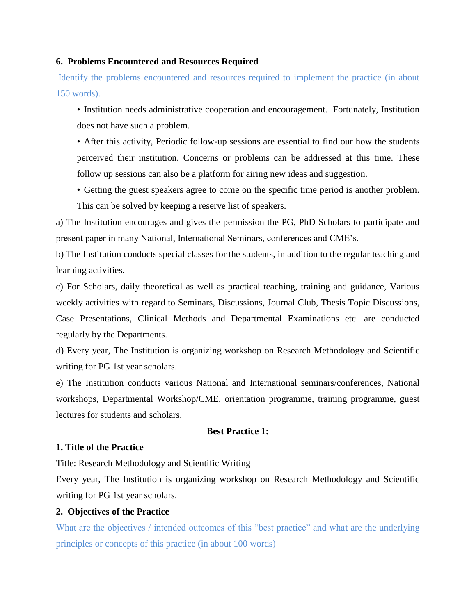### **6. Problems Encountered and Resources Required**

Identify the problems encountered and resources required to implement the practice (in about 150 words).

- Institution needs administrative cooperation and encouragement. Fortunately, Institution does not have such a problem.
- After this activity, Periodic follow-up sessions are essential to find our how the students perceived their institution. Concerns or problems can be addressed at this time. These follow up sessions can also be a platform for airing new ideas and suggestion.
- Getting the guest speakers agree to come on the specific time period is another problem. This can be solved by keeping a reserve list of speakers.

a) The Institution encourages and gives the permission the PG, PhD Scholars to participate and present paper in many National, International Seminars, conferences and CME's.

b) The Institution conducts special classes for the students, in addition to the regular teaching and learning activities.

c) For Scholars, daily theoretical as well as practical teaching, training and guidance, Various weekly activities with regard to Seminars, Discussions, Journal Club, Thesis Topic Discussions, Case Presentations, Clinical Methods and Departmental Examinations etc. are conducted regularly by the Departments.

d) Every year, The Institution is organizing workshop on Research Methodology and Scientific writing for PG 1st year scholars.

e) The Institution conducts various National and International seminars/conferences, National workshops, Departmental Workshop/CME, orientation programme, training programme, guest lectures for students and scholars.

# **Best Practice 1:**

### **1. Title of the Practice**

Title: Research Methodology and Scientific Writing

Every year, The Institution is organizing workshop on Research Methodology and Scientific writing for PG 1st year scholars.

# **2. Objectives of the Practice**

What are the objectives / intended outcomes of this "best practice" and what are the underlying principles or concepts of this practice (in about 100 words)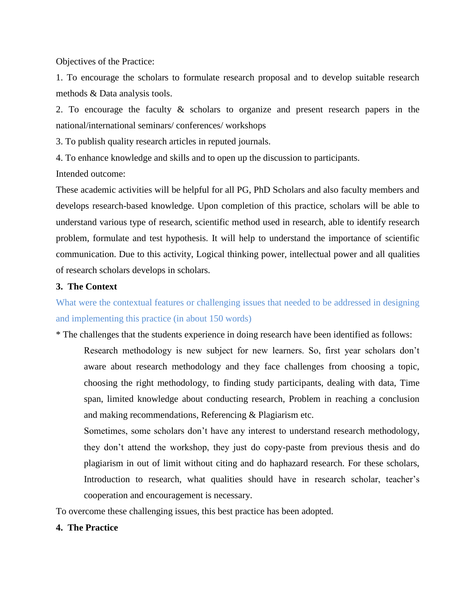Objectives of the Practice:

1. To encourage the scholars to formulate research proposal and to develop suitable research methods & Data analysis tools.

2. To encourage the faculty & scholars to organize and present research papers in the national/international seminars/ conferences/ workshops

3. To publish quality research articles in reputed journals.

4. To enhance knowledge and skills and to open up the discussion to participants.

Intended outcome:

These academic activities will be helpful for all PG, PhD Scholars and also faculty members and develops research-based knowledge. Upon completion of this practice, scholars will be able to understand various type of research, scientific method used in research, able to identify research problem, formulate and test hypothesis. It will help to understand the importance of scientific communication. Due to this activity, Logical thinking power, intellectual power and all qualities of research scholars develops in scholars.

# **3. The Context**

What were the contextual features or challenging issues that needed to be addressed in designing and implementing this practice (in about 150 words)

\* The challenges that the students experience in doing research have been identified as follows:

Research methodology is new subject for new learners. So, first year scholars don't aware about research methodology and they face challenges from choosing a topic, choosing the right methodology, to finding study participants, dealing with data, Time span, limited knowledge about conducting research, Problem in reaching a conclusion and making recommendations, Referencing & Plagiarism etc.

Sometimes, some scholars don't have any interest to understand research methodology, they don't attend the workshop, they just do copy-paste from previous thesis and do plagiarism in out of limit without citing and do haphazard research. For these scholars, Introduction to research, what qualities should have in research scholar, teacher's cooperation and encouragement is necessary.

To overcome these challenging issues, this best practice has been adopted.

# **4. The Practice**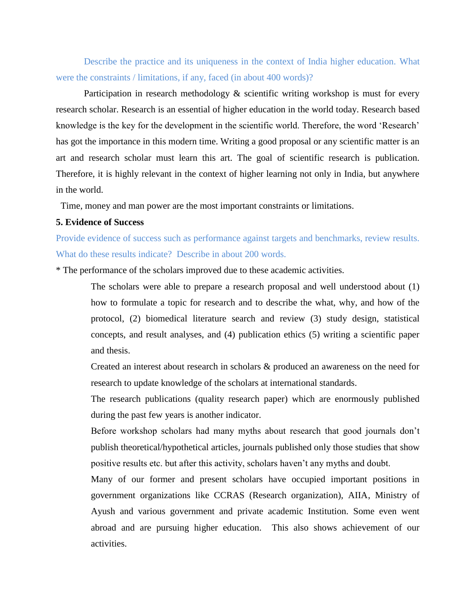Describe the practice and its uniqueness in the context of India higher education. What were the constraints / limitations, if any, faced (in about 400 words)?

Participation in research methodology  $\&$  scientific writing workshop is must for every research scholar. Research is an essential of higher education in the world today. Research based knowledge is the key for the development in the scientific world. Therefore, the word 'Research' has got the importance in this modern time. Writing a good proposal or any scientific matter is an art and research scholar must learn this art. The goal of scientific research is publication. Therefore, it is highly relevant in the context of higher learning not only in India, but anywhere in the world.

Time, money and man power are the most important constraints or limitations.

### **5. Evidence of Success**

Provide evidence of success such as performance against targets and benchmarks, review results. What do these results indicate? Describe in about 200 words.

\* The performance of the scholars improved due to these academic activities.

The scholars were able to prepare a research proposal and well understood about (1) how to formulate a topic for research and to describe the what, why, and how of the protocol, (2) biomedical literature search and review (3) study design, statistical concepts, and result analyses, and (4) publication ethics (5) writing a scientific paper and thesis.

Created an interest about research in scholars & produced an awareness on the need for research to update knowledge of the scholars at international standards.

The research publications (quality research paper) which are enormously published during the past few years is another indicator.

Before workshop scholars had many myths about research that good journals don't publish theoretical/hypothetical articles, journals published only those studies that show positive results etc. but after this activity, scholars haven't any myths and doubt.

Many of our former and present scholars have occupied important positions in government organizations like CCRAS (Research organization), AIIA, Ministry of Ayush and various government and private academic Institution. Some even went abroad and are pursuing higher education. This also shows achievement of our activities.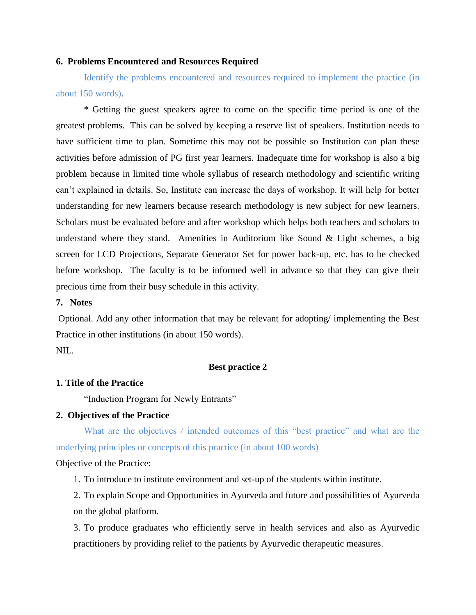### **6. Problems Encountered and Resources Required**

Identify the problems encountered and resources required to implement the practice (in about 150 words).

\* Getting the guest speakers agree to come on the specific time period is one of the greatest problems. This can be solved by keeping a reserve list of speakers. Institution needs to have sufficient time to plan. Sometime this may not be possible so Institution can plan these activities before admission of PG first year learners. Inadequate time for workshop is also a big problem because in limited time whole syllabus of research methodology and scientific writing can't explained in details. So, Institute can increase the days of workshop. It will help for better understanding for new learners because research methodology is new subject for new learners. Scholars must be evaluated before and after workshop which helps both teachers and scholars to understand where they stand. Amenities in Auditorium like Sound  $\&$  Light schemes, a big screen for LCD Projections, Separate Generator Set for power back-up, etc. has to be checked before workshop. The faculty is to be informed well in advance so that they can give their precious time from their busy schedule in this activity.

### **7. Notes**

Optional. Add any other information that may be relevant for adopting/ implementing the Best Practice in other institutions (in about 150 words). NIL.

#### **Best practice 2**

#### **1. Title of the Practice**

"Induction Program for Newly Entrants"

## **2. Objectives of the Practice**

What are the objectives / intended outcomes of this "best practice" and what are the underlying principles or concepts of this practice (in about 100 words)

Objective of the Practice:

1. To introduce to institute environment and set-up of the students within institute.

2. To explain Scope and Opportunities in Ayurveda and future and possibilities of Ayurveda on the global platform.

3. To produce graduates who efficiently serve in health services and also as Ayurvedic practitioners by providing relief to the patients by Ayurvedic therapeutic measures.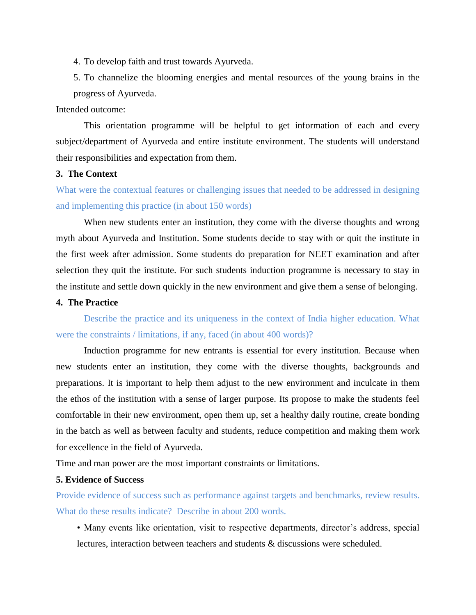4. To develop faith and trust towards Ayurveda.

5. To channelize the blooming energies and mental resources of the young brains in the progress of Ayurveda.

Intended outcome:

This orientation programme will be helpful to get information of each and every subject/department of Ayurveda and entire institute environment. The students will understand their responsibilities and expectation from them.

### **3. The Context**

What were the contextual features or challenging issues that needed to be addressed in designing and implementing this practice (in about 150 words)

When new students enter an institution, they come with the diverse thoughts and wrong myth about Ayurveda and Institution. Some students decide to stay with or quit the institute in the first week after admission. Some students do preparation for NEET examination and after selection they quit the institute. For such students induction programme is necessary to stay in the institute and settle down quickly in the new environment and give them a sense of belonging.

### **4. The Practice**

Describe the practice and its uniqueness in the context of India higher education. What were the constraints / limitations, if any, faced (in about 400 words)?

Induction programme for new entrants is essential for every institution. Because when new students enter an institution, they come with the diverse thoughts, backgrounds and preparations. It is important to help them adjust to the new environment and inculcate in them the ethos of the institution with a sense of larger purpose. Its propose to make the students feel comfortable in their new environment, open them up, set a healthy daily routine, create bonding in the batch as well as between faculty and students, reduce competition and making them work for excellence in the field of Ayurveda.

Time and man power are the most important constraints or limitations.

# **5. Evidence of Success**

Provide evidence of success such as performance against targets and benchmarks, review results. What do these results indicate? Describe in about 200 words.

• Many events like orientation, visit to respective departments, director's address, special lectures, interaction between teachers and students & discussions were scheduled.